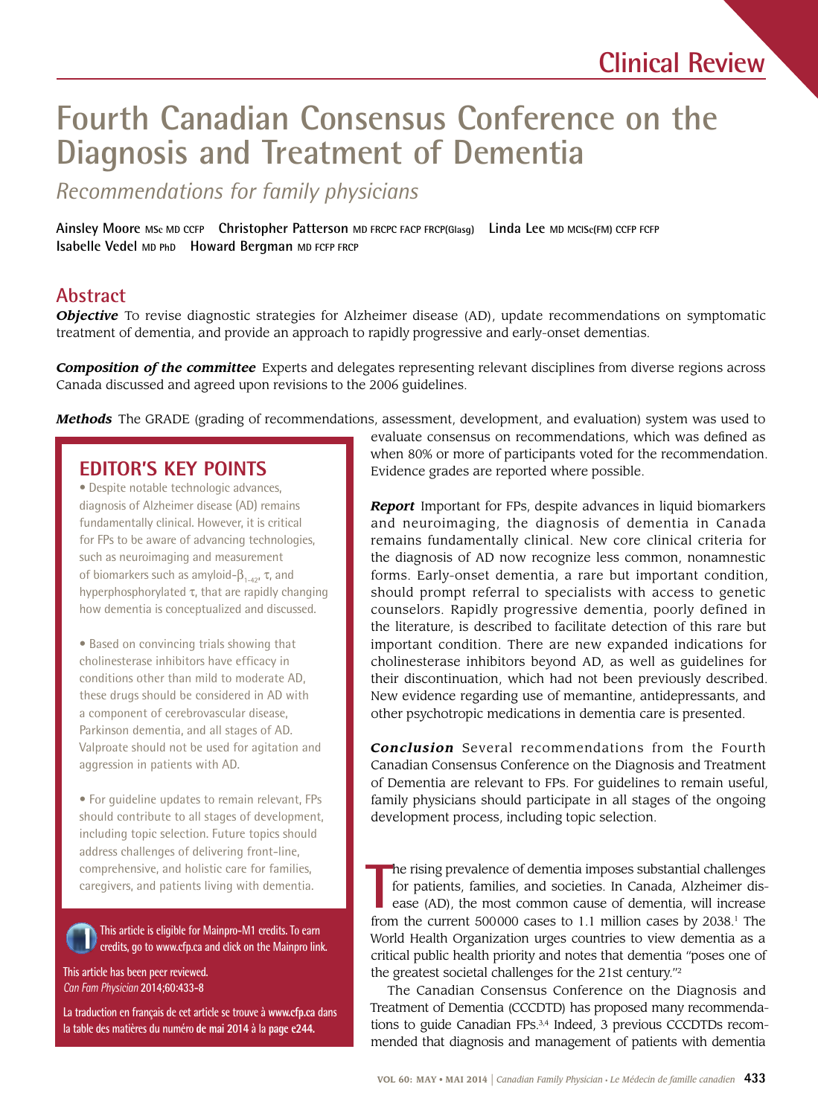# **Fourth Canadian Consensus Conference on the Diagnosis and Treatment of Dementia**

*Recommendations for family physicians* 

Ainsley Moore Msc MD ccrp **Christopher Patterson** MD FRCPC FACP FRCP(Glasg) Linda Lee MD MCISc(FM) CCFP FCFP<br>Isabelle Vedel MD PhD Howard Bergman MD FCFP FRCP

## **Abstract**

*Objective* To revise diagnostic strategies for Alzheimer disease (AD), update recommendations on symptomatic treatment of dementia, and provide an approach to rapidly progressive and early-onset dementias.

*Composition of the committee* Experts and delegates representing relevant disciplines from diverse regions across Canada discussed and agreed upon revisions to the 2006 guidelines.

*Methods* The GRADE (grading of recommendations, assessment, development, and evaluation) system was used to

### **EDITOR'S KEY POINTS**

• Despite notable technologic advances, diagnosis of Alzheimer disease (AD) remains fundamentally clinical. However, it is critical for FPs to be aware of advancing technologies, such as neuroimaging and measurement of biomarkers such as amyloid- $β_{1-42}$ , τ, and hyperphosphorylated  $\tau$ , that are rapidly changing how dementia is conceptualized and discussed.

• Based on convincing trials showing that cholinesterase inhibitors have efficacy in conditions other than mild to moderate AD, these drugs should be considered in AD with a component of cerebrovascular disease, Parkinson dementia, and all stages of AD. Valproate should not be used for agitation and aggression in patients with AD.

• For guideline updates to remain relevant, FPs should contribute to all stages of development, including topic selection. Future topics should address challenges of delivering front-line, comprehensive, and holistic care for families, caregivers, and patients living with dementia.

**This article is eligible for Mainpro-M1 credits. To earn credits, go to<www.cfp.ca> and click on the Mainpro link.** 

**This article has been peer reviewed.**  *Can Fam Physician* **2014;60:433-8** 

**La traduction en français de cet article se trouve à <www.cfp.ca> dans la table des matières du numéro de mai 2014 à la page e244.** 

evaluate consensus on recommendations, which was defned as when 80% or more of participants voted for the recommendation. Evidence grades are reported where possible.

 forms. Early-onset dementia, a rare but important condition, *Report* Important for FPs, despite advances in liquid biomarkers and neuroimaging, the diagnosis of dementia in Canada remains fundamentally clinical. New core clinical criteria for the diagnosis of AD now recognize less common, nonamnestic should prompt referral to specialists with access to genetic counselors. Rapidly progressive dementia, poorly defined in the literature, is described to facilitate detection of this rare but important condition. There are new expanded indications for cholinesterase inhibitors beyond AD, as well as guidelines for their discontinuation, which had not been previously described. New evidence regarding use of memantine, antidepressants, and other psychotropic medications in dementia care is presented.

*Conclusion* Several recommendations from the Fourth Canadian Consensus Conference on the Diagnosis and Treatment of Dementia are relevant to FPs. For guidelines to remain useful, family physicians should participate in all stages of the ongoing development process, including topic selection.

 for patients, families, and societies. In Canada, Alzheimer dis-**T** he rising prevalence of dementia imposes substantial challenges ease (AD), the most common cause of dementia, will increase from the current 500000 cases to 1.1 million cases by 2038.<sup>1</sup> The World Health Organization urges countries to view dementia as a critical public health priority and notes that dementia "poses one of the greatest societal challenges for the 21st century."2

The Canadian Consensus Conference on the Diagnosis and Treatment of Dementia (CCCDTD) has proposed many recommendations to guide Canadian FPs.<sup>3,4</sup> Indeed, 3 previous CCCDTDs recommended that diagnosis and management of patients with dementia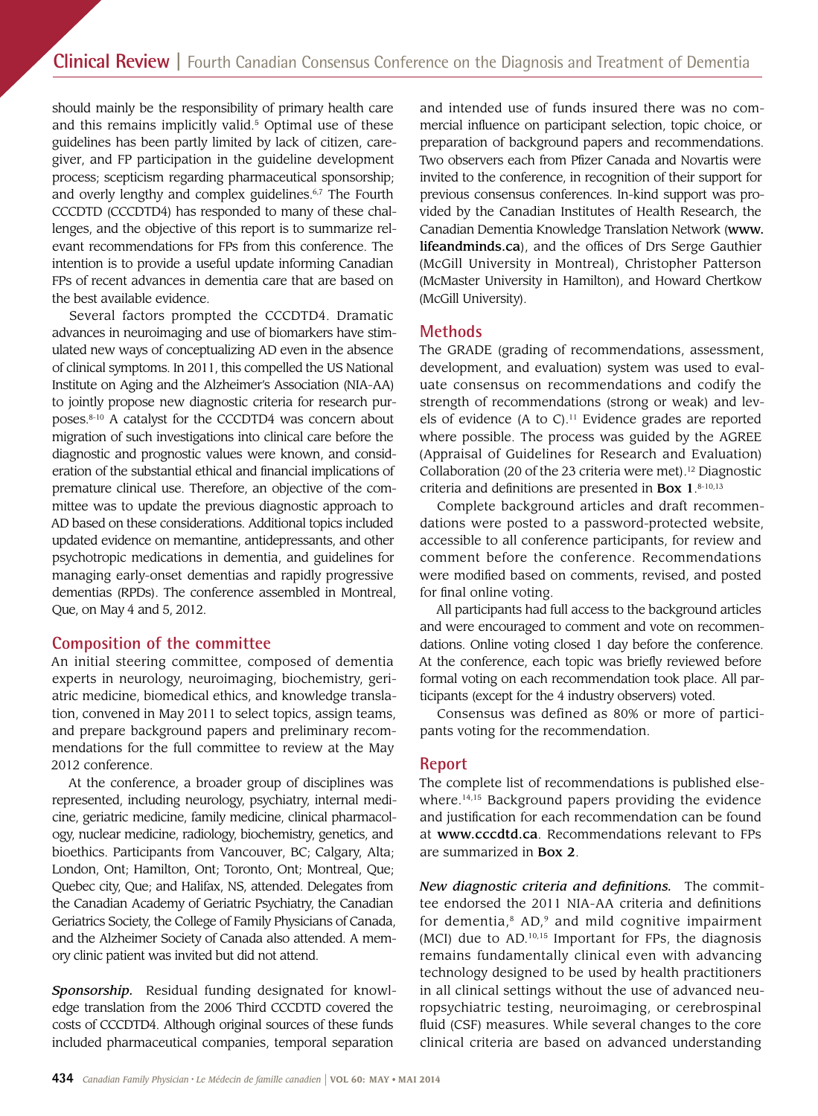and this remains implicitly valid.<sup>5</sup> Optimal use of these guidelines has been partly limited by lack of citizen, careshould mainly be the responsibility of primary health care giver, and FP participation in the guideline development process; scepticism regarding pharmaceutical sponsorship; and overly lengthy and complex guidelines.<sup>6,7</sup> The Fourth CCCDTD (CCCDTD4) has responded to many of these challenges, and the objective of this report is to summarize relevant recommendations for FPs from this conference. The intention is to provide a useful update informing Canadian FPs of recent advances in dementia care that are based on the best available evidence.

Several factors prompted the CCCDTD4. Dramatic advances in neuroimaging and use of biomarkers have stimulated new ways of conceptualizing AD even in the absence of clinical symptoms. In 2011, this compelled the US National Institute on Aging and the Alzheimer's Association (NIA-AA) to jointly propose new diagnostic criteria for research purposes.8-10 A catalyst for the CCCDTD4 was concern about migration of such investigations into clinical care before the diagnostic and prognostic values were known, and consideration of the substantial ethical and fnancial implications of premature clinical use. Therefore, an objective of the committee was to update the previous diagnostic approach to AD based on these considerations. Additional topics included updated evidence on memantine, antidepressants, and other psychotropic medications in dementia, and guidelines for managing early-onset dementias and rapidly progressive dementias (RPDs). The conference assembled in Montreal, Que, on May 4 and 5, 2012.

### **Composition of the committee**

An initial steering committee, composed of dementia experts in neurology, neuroimaging, biochemistry, geriatric medicine, biomedical ethics, and knowledge translation, convened in May 2011 to select topics, assign teams, and prepare background papers and preliminary recommendations for the full committee to review at the May 2012 conference.

 bioethics. Participants from Vancouver, BC; Calgary, Alta; At the conference, a broader group of disciplines was represented, including neurology, psychiatry, internal medicine, geriatric medicine, family medicine, clinical pharmacology, nuclear medicine, radiology, biochemistry, genetics, and London, Ont; Hamilton, Ont; Toronto, Ont; Montreal, Que; Quebec city, Que; and Halifax, NS, attended. Delegates from the Canadian Academy of Geriatric Psychiatry, the Canadian Geriatrics Society, the College of Family Physicians of Canada, and the Alzheimer Society of Canada also attended. A memory clinic patient was invited but did not attend.

*Sponsorship.* Residual funding designated for knowledge translation from the 2006 Third CCCDTD covered the costs of CCCDTD4. Although original sources of these funds included pharmaceutical companies, temporal separation

 mercial infuence on participant selection, topic choice, or (McMaster University in Hamilton), and Howard Chertkow and intended use of funds insured there was no compreparation of background papers and recommendations. Two observers each from Pfizer Canada and Novartis were invited to the conference, in recognition of their support for previous consensus conferences. In-kind support was provided by the Canadian Institutes of Health Research, the Canadian Dementia Knowledge Translation Network (www. [lifeandminds.ca](https://lifeandminds.ca)), and the offices of Drs Serge Gauthier (McGill University in Montreal), Christopher Patterson (McGill University).

### **Methods**

 strength of recommendations (strong or weak) and lev- (Appraisal of Guidelines for Research and Evaluation) The GRADE (grading of recommendations, assessment, development, and evaluation) system was used to evaluate consensus on recommendations and codify the els of evidence (A to  $C$ ).<sup>11</sup> Evidence grades are reported where possible. The process was guided by the AGREE Collaboration (20 of the 23 criteria were met).<sup>12</sup> Diagnostic criteria and definitions are presented in Box  $1.^{8 \cdot 10,13}$ 

Complete background articles and draft recommendations were posted to a password-protected website, accessible to all conference participants, for review and comment before the conference. Recommendations were modifed based on comments, revised, and posted for final online voting.

All participants had full access to the background articles and were encouraged to comment and vote on recommendations. Online voting closed 1 day before the conference. At the conference, each topic was briefy reviewed before formal voting on each recommendation took place. All participants (except for the 4 industry observers) voted.

Consensus was defined as 80% or more of participants voting for the recommendation.

### **Report**

The complete list of recommendations is published elsewhere.<sup>14,15</sup> Background papers providing the evidence and justifcation for each recommendation can be found at <www.cccdtd.ca>. Recommendations relevant to FPs are summarized in Box 2.

*New diagnostic criteria and defnitions.* The committee endorsed the 2011 NIA-AA criteria and defnitions for dementia, $8$  AD, $9$  and mild cognitive impairment (MCI) due to AD.10,15 Important for FPs, the diagnosis remains fundamentally clinical even with advancing technology designed to be used by health practitioners in all clinical settings without the use of advanced neuropsychiatric testing, neuroimaging, or cerebrospinal fuid (CSF) measures. While several changes to the core clinical criteria are based on advanced understanding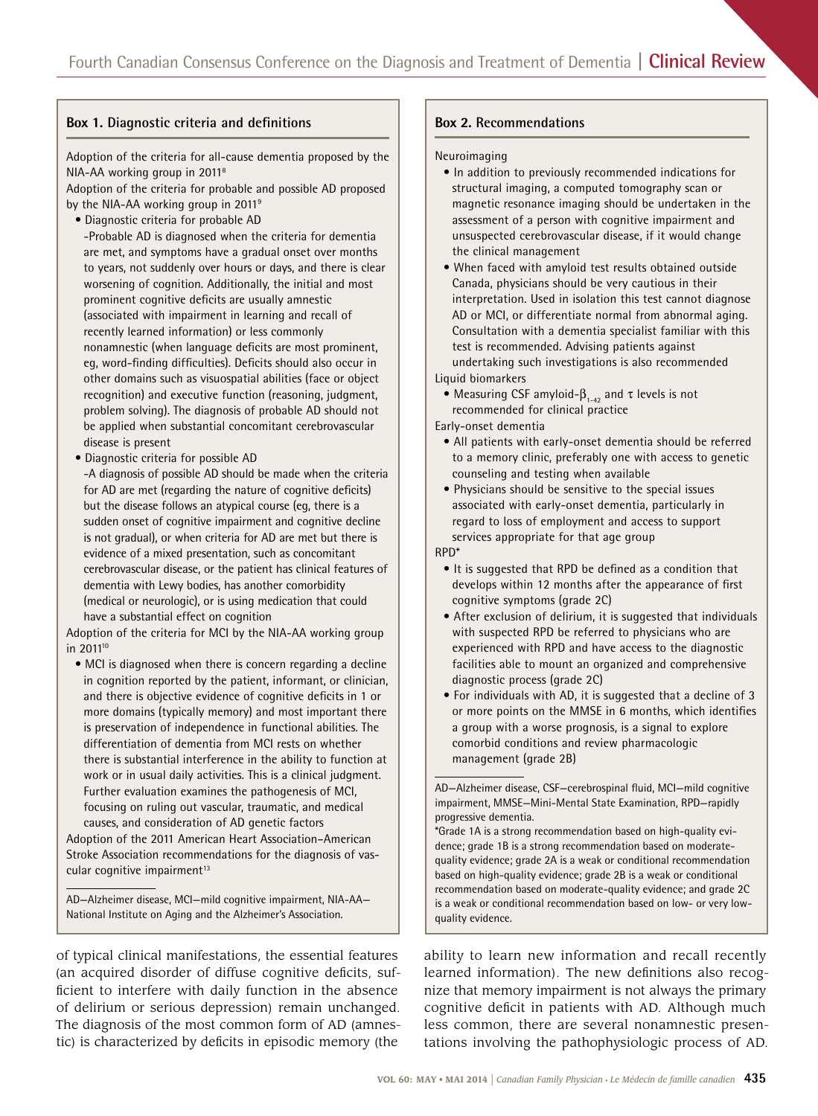### **Box 1.** Diagnostic criteria and definitions **Box 2.** Recommendations

Adoption of the criteria for all-cause dementia proposed by the NIA-AA working group in 20118

Adoption of the criteria for probable and possible AD proposed by the NIA-AA working group in 2011<sup>9</sup>

- Diagnostic criteria for probable AD
- -Probable AD is diagnosed when the criteria for dementia are met, and symptoms have a gradual onset over months to years, not suddenly over hours or days, and there is clear worsening of cognition. Additionally, the initial and most prominent cognitive deficits are usually amnestic (associated with impairment in learning and recall of recently learned information) or less commonly nonamnestic (when language deficits are most prominent, eg, word-finding difficulties). Deficits should also occur in other domains such as visuospatial abilities (face or object recognition) and executive function (reasoning, judgment, problem solving). The diagnosis of probable AD should not be applied when substantial concomitant cerebrovascular disease is present
- Diagnostic criteria for possible AD
- -A diagnosis of possible AD should be made when the criteria for AD are met (regarding the nature of cognitive deficits) but the disease follows an atypical course (eg, there is a sudden onset of cognitive impairment and cognitive decline is not gradual), or when criteria for AD are met but there is evidence of a mixed presentation, such as concomitant cerebrovascular disease, or the patient has clinical features of dementia with Lewy bodies, has another comorbidity (medical or neurologic), or is using medication that could have a substantial effect on cognition

Adoption of the criteria for MCI by the NIA-AA working group in 2011<sup>10</sup>

• MCI is diagnosed when there is concern regarding a decline in cognition reported by the patient, informant, or clinician, and there is objective evidence of cognitive deficits in 1 or more domains (typically memory) and most important there is preservation of independence in functional abilities. The differentiation of dementia from MCI rests on whether there is substantial interference in the ability to function at work or in usual daily activities. This is a clinical judgment. Further evaluation examines the pathogenesis of MCI, focusing on ruling out vascular, traumatic, and medical causes, and consideration of AD genetic factors

Adoption of the 2011 American Heart Association–American Stroke Association recommendations for the diagnosis of vascular cognitive impairment<sup>13</sup>

AD—Alzheimer disease, MCI—mild cognitive impairment, NIA-AA— National Institute on Aging and the Alzheimer's Association.

Neuroimaging

- In addition to previously recommended indications for structural imaging, a computed tomography scan or magnetic resonance imaging should be undertaken in the assessment of a person with cognitive impairment and unsuspected cerebrovascular disease, if it would change the clinical management
- When faced with amyloid test results obtained outside Canada, physicians should be very cautious in their interpretation. Used in isolation this test cannot diagnose AD or MCI, or differentiate normal from abnormal aging. Consultation with a dementia specialist familiar with this test is recommended. Advising patients against undertaking such investigations is also recommended Liquid biomarkers

• Measuring CSF amyloid- $\beta_{1-42}$  and  $\tau$  levels is not recommended for clinical practice

Early-onset dementia

- All patients with early-onset dementia should be referred to a memory clinic, preferably one with access to genetic counseling and testing when available
- Physicians should be sensitive to the special issues associated with early-onset dementia, particularly in regard to loss of employment and access to support services appropriate for that age group

RPD\*

- It is suggested that RPD be defned as a condition that develops within 12 months after the appearance of frst cognitive symptoms (grade 2C)
- After exclusion of delirium, it is suggested that individuals with suspected RPD be referred to physicians who are experienced with RPD and have access to the diagnostic facilities able to mount an organized and comprehensive diagnostic process (grade 2C)
- For individuals with AD, it is suggested that a decline of 3 or more points on the MMSE in 6 months, which identifes a group with a worse prognosis, is a signal to explore comorbid conditions and review pharmacologic management (grade 2B)

 of delirium or serious depression) remain unchanged. cognitive defcit in patients with AD. Although much of typical clinical manifestations, the essential features ability to learn new information and recall recently (an acquired disorder of diffuse cognitive defcits, suf- learned information). The new defnitions also recogficient to interfere with daily function in the absence nize that memory impairment is not always the primary The diagnosis of the most common form of AD (amnes- less common, there are several nonamnestic presentic) is characterized by defcits in episodic memory (the tations involving the pathophysiologic process of AD.

AD—Alzheimer disease, CSF—cerebrospinal fuid, MCI—mild cognitive impairment, MMSE—Mini-Mental State Examination, RPD—rapidly progressive dementia.

<sup>\*</sup>Grade 1A is a strong recommendation based on high-quality evidence; grade 1B is a strong recommendation based on moderatequality evidence; grade 2A is a weak or conditional recommendation based on high-quality evidence; grade 2B is a weak or conditional recommendation based on moderate-quality evidence; and grade 2C is a weak or conditional recommendation based on low- or very lowquality evidence.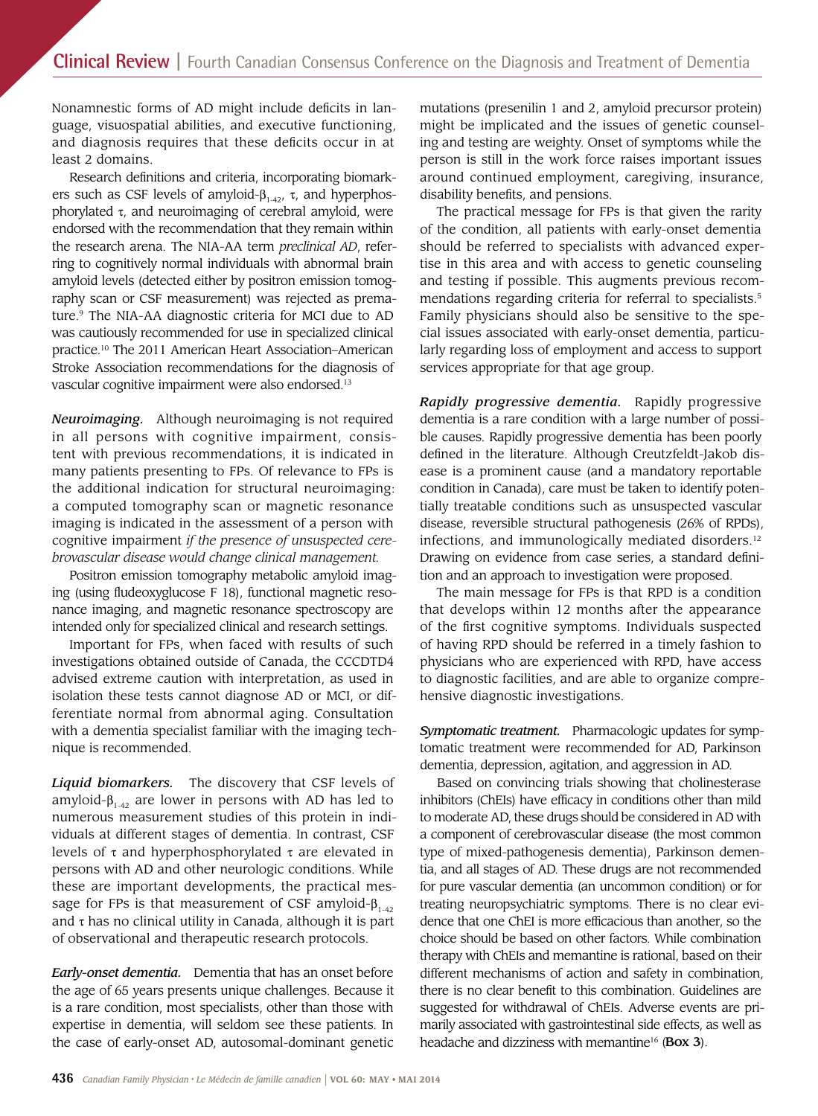Nonamnestic forms of AD might include deficits in language, visuospatial abilities, and executive functioning, and diagnosis requires that these defcits occur in at least 2 domains.

Research defnitions and criteria, incorporating biomarkers such as CSF levels of amyloid- $β_{1-42}$ , τ, and hyperphosphorylated  $\tau$ , and neuroimaging of cerebral amyloid, were endorsed with the recommendation that they remain within the research arena. The NIA-AA term *preclinical AD*, referring to cognitively normal individuals with abnormal brain amyloid levels (detected either by positron emission tomography scan or CSF measurement) was rejected as premature.9 The NIA-AA diagnostic criteria for MCI due to AD was cautiously recommended for use in specialized clinical [practice.10](https://practice.10) The 2011 American Heart Association–American Stroke Association recommendations for the diagnosis of vascular cognitive impairment were also [endorsed.13](https://endorsed.13) 

*Neuroimaging.* Although neuroimaging is not required in all persons with cognitive impairment, consistent with previous recommendations, it is indicated in many patients presenting to FPs. Of relevance to FPs is the additional indication for structural neuroimaging: a computed tomography scan or magnetic resonance imaging is indicated in the assessment of a person with cognitive impairment *if the presence of unsuspected cerebrovascular disease would change clinical management.* 

Positron emission tomography metabolic amyloid imaging (using fudeoxyglucose F 18), functional magnetic resonance imaging, and magnetic resonance spectroscopy are intended only for specialized clinical and research settings.

Important for FPs, when faced with results of such investigations obtained outside of Canada, the CCCDTD4 advised extreme caution with interpretation, as used in isolation these tests cannot diagnose AD or MCI, or differentiate normal from abnormal aging. Consultation with a dementia specialist familiar with the imaging technique is recommended.

sage for FPs is that measurement of CSF amyloid- $\beta_{_{1\text{-}42}}$ *Liquid biomarkers.* The discovery that CSF levels of amyloid- $β_{1-42}$  are lower in persons with AD has led to numerous measurement studies of this protein in individuals at different stages of dementia. In contrast, CSF levels of  $\tau$  and hyperphosphorylated  $\tau$  are elevated in persons with AD and other neurologic conditions. While these are important developments, the practical mesand  $\tau$  has no clinical utility in Canada, although it is part of observational and therapeutic research protocols.

*Early-onset dementia.* Dementia that has an onset before the age of 65 years presents unique challenges. Because it is a rare condition, most specialists, other than those with expertise in dementia, will seldom see these patients. In the case of early-onset AD, autosomal-dominant genetic

 might be implicated and the issues of genetic counselmutations (presenilin 1 and 2, amyloid precursor protein) ing and testing are weighty. Onset of symptoms while the person is still in the work force raises important issues around continued employment, caregiving, insurance, disability benefts, and pensions.

 The practical message for FPs is that given the rarity Family physicians should also be sensitive to the speof the condition, all patients with early-onset dementia should be referred to specialists with advanced expertise in this area and with access to genetic counseling and testing if possible. This augments previous recommendations regarding criteria for referral to specialists.<sup>5</sup> cial issues associated with early-onset dementia, particularly regarding loss of employment and access to support services appropriate for that age group.

 ease is a prominent cause (and a mandatory reportable *Rapidly progressive dementia.* Rapidly progressive dementia is a rare condition with a large number of possible causes. Rapidly progressive dementia has been poorly defned in the literature. Although Creutzfeldt-Jakob discondition in Canada), care must be taken to identify potentially treatable conditions such as unsuspected vascular disease, reversible structural pathogenesis (26% of RPDs), infections, and immunologically mediated disorders.<sup>12</sup> Drawing on evidence from case series, a standard defnition and an approach to investigation were proposed.

The main message for FPs is that RPD is a condition that develops within 12 months after the appearance of the frst cognitive symptoms. Individuals suspected of having RPD should be referred in a timely fashion to physicians who are experienced with RPD, have access to diagnostic facilities, and are able to organize comprehensive diagnostic investigations.

*Symptomatic treatment.* Pharmacologic updates for symptomatic treatment were recommended for AD, Parkinson dementia, depression, agitation, and aggression in AD.

Based on convincing trials showing that cholinesterase inhibitors (ChEIs) have efficacy in conditions other than mild to moderate AD, these drugs should be considered in AD with a component of cerebrovascular disease (the most common type of mixed-pathogenesis dementia), Parkinson dementia, and all stages of AD. These drugs are not recommended for pure vascular dementia (an uncommon condition) or for treating neuropsychiatric symptoms. There is no clear evidence that one ChEI is more effcacious than another, so the choice should be based on other factors. While combination therapy with ChEIs and memantine is rational, based on their different mechanisms of action and safety in combination, there is no clear beneft to this combination. Guidelines are suggested for withdrawal of ChEIs. Adverse events are primarily associated with gastrointestinal side effects, as well as headache and dizziness with memantine<sup>16</sup> (Box 3).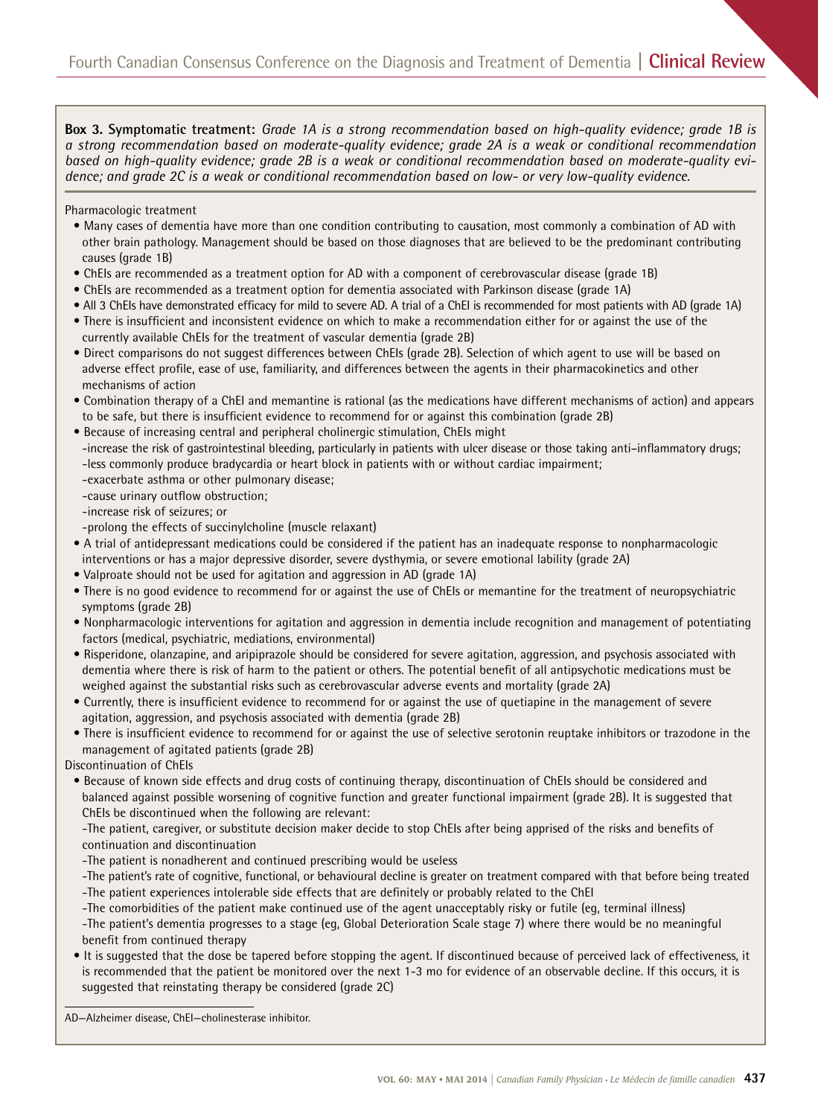**Box 3. Symptomatic treatment:** *Grade 1A is a strong recommendation based on high-quality evidence; grade 1B is a strong recommendation based on moderate-quality evidence; grade 2A is a weak or conditional recommendation based on high-quality evidence; grade 2B is a weak or conditional recommendation based on moderate-quality evidence; and grade 2C is a weak or conditional recommendation based on low- or very low-quality evidence.* 

#### Pharmacologic treatment

- Many cases of dementia have more than one condition contributing to causation, most commonly a combination of AD with other brain pathology. Management should be based on those diagnoses that are believed to be the predominant contributing causes (grade 1B)
- ChEIs are recommended as a treatment option for AD with a component of cerebrovascular disease (grade 1B)
- ChEIs are recommended as a treatment option for dementia associated with Parkinson disease (grade 1A)
- All 3 ChEIs have demonstrated effcacy for mild to severe AD. A trial of a ChEI is recommended for most patients with AD (grade 1A)
- There is insuffcient and inconsistent evidence on which to make a recommendation either for or against the use of the currently available ChEIs for the treatment of vascular dementia (grade 2B)
- Direct comparisons do not suggest differences between ChEIs (grade 2B). Selection of which agent to use will be based on adverse effect profle, ease of use, familiarity, and differences between the agents in their pharmacokinetics and other mechanisms of action
- Combination therapy of a ChEI and memantine is rational (as the medications have different mechanisms of action) and appears to be safe, but there is insuffcient evidence to recommend for or against this combination (grade 2B)
- Because of increasing central and peripheral cholinergic stimulation, ChEIs might
- -increase the risk of gastrointestinal bleeding, particularly in patients with ulcer disease or those taking anti–infammatory drugs; -less commonly produce bradycardia or heart block in patients with or without cardiac impairment;
- -exacerbate asthma or other pulmonary disease;
- -cause urinary outflow obstruction;
- -increase risk of seizures; or
- -prolong the effects of succinylcholine (muscle relaxant)
- A trial of antidepressant medications could be considered if the patient has an inadequate response to nonpharmacologic interventions or has a major depressive disorder, severe dysthymia, or severe emotional lability (grade 2A)
- Valproate should not be used for agitation and aggression in AD (grade 1A)
- There is no good evidence to recommend for or against the use of ChEIs or memantine for the treatment of neuropsychiatric symptoms (grade 2B)
- Nonpharmacologic interventions for agitation and aggression in dementia include recognition and management of potentiating factors (medical, psychiatric, mediations, environmental)
- Risperidone, olanzapine, and aripiprazole should be considered for severe agitation, aggression, and psychosis associated with dementia where there is risk of harm to the patient or others. The potential beneft of all antipsychotic medications must be weighed against the substantial risks such as cerebrovascular adverse events and mortality (grade 2A)
- Currently, there is insuffcient evidence to recommend for or against the use of quetiapine in the management of severe agitation, aggression, and psychosis associated with dementia (grade 2B)
- There is insuffcient evidence to recommend for or against the use of selective serotonin reuptake inhibitors or trazodone in the management of agitated patients (grade 2B)
- Discontinuation of ChEIs
	- Because of known side effects and drug costs of continuing therapy, discontinuation of ChEIs should be considered and balanced against possible worsening of cognitive function and greater functional impairment (grade 2B). It is suggested that ChEIs be discontinued when the following are relevant:
	- -The patient, caregiver, or substitute decision maker decide to stop ChEIs after being apprised of the risks and benefts of continuation and discontinuation
	- -The patient is nonadherent and continued prescribing would be useless
	- -The patient's rate of cognitive, functional, or behavioural decline is greater on treatment compared with that before being treated -The patient experiences intolerable side effects that are defnitely or probably related to the ChEI
	- -The comorbidities of the patient make continued use of the agent unacceptably risky or futile (eg, terminal illness) -The patient's dementia progresses to a stage (eg, Global Deterioration Scale stage 7) where there would be no meaningful benefit from continued therapy
	- It is suggested that the dose be tapered before stopping the agent. If discontinued because of perceived lack of effectiveness, it is recommended that the patient be monitored over the next 1-3 mo for evidence of an observable decline. If this occurs, it is suggested that reinstating therapy be considered (grade 2C)

AD—Alzheimer disease, ChEI—cholinesterase inhibitor.